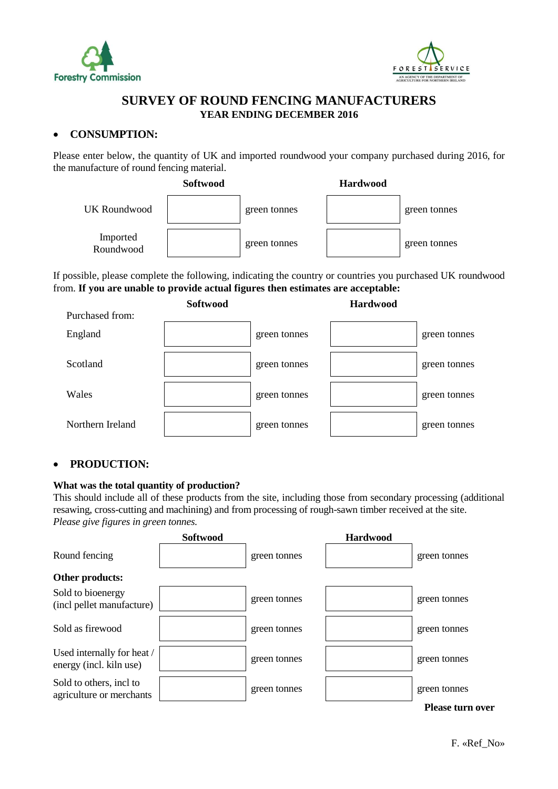



# **SURVEY OF ROUND FENCING MANUFACTURERS YEAR ENDING DECEMBER 2016**

## **CONSUMPTION:**

Please enter below, the quantity of UK and imported roundwood your company purchased during 2016, for the manufacture of round fencing material.



If possible, please complete the following, indicating the country or countries you purchased UK roundwood from. **If you are unable to provide actual figures then estimates are acceptable:**



## **PRODUCTION:**

#### **What was the total quantity of production?**

This should include all of these products from the site, including those from secondary processing (additional resawing, cross-cutting and machining) and from processing of rough-sawn timber received at the site. *Please give figures in green tonnes.*

|                                                       | Softwood |              | <b>Hardwood</b> |                         |
|-------------------------------------------------------|----------|--------------|-----------------|-------------------------|
| Round fencing                                         |          | green tonnes |                 | green tonnes            |
| Other products:                                       |          |              |                 |                         |
| Sold to bioenergy<br>(incl pellet manufacture)        |          | green tonnes |                 | green tonnes            |
| Sold as firewood                                      |          | green tonnes |                 | green tonnes            |
| Used internally for heat /<br>energy (incl. kiln use) |          | green tonnes |                 | green tonnes            |
| Sold to others, incl to<br>agriculture or merchants   |          | green tonnes |                 | green tonnes            |
|                                                       |          |              |                 | <b>Please turn over</b> |

F. «Ref\_No»